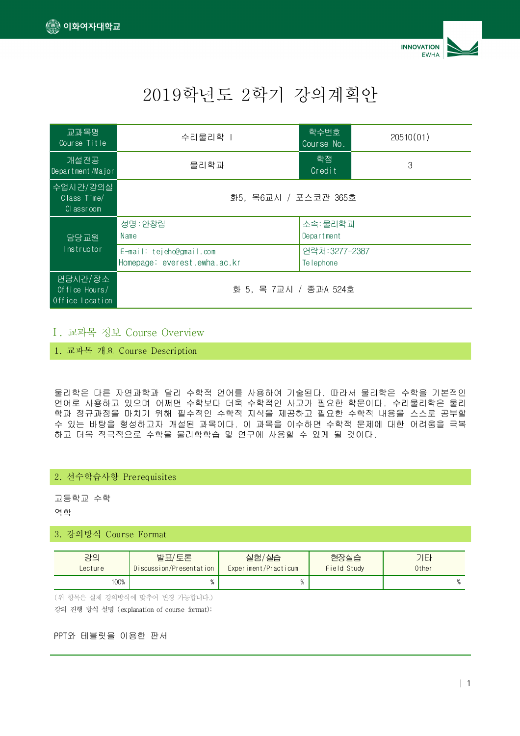



# 2019 2 학년도 학기 강의계획안

| 교과목명<br>Course Title                        | 수리물리학                                                    | 학수번호<br>Course No.           | 20510(01) |  |
|---------------------------------------------|----------------------------------------------------------|------------------------------|-----------|--|
| 개설전공<br>Department/Major                    | 물리학과                                                     | 학점<br>Credit                 | 3         |  |
| 수업시간/강의실<br>Class Time/<br>Classroom        | 화5, 목6교시 / 포스코관 365호                                     |                              |           |  |
| 담당교원<br>Instructor                          | 성명: 안창림<br>Name                                          | 소속: 물리학과<br>Department       |           |  |
|                                             | E-mail: tejeho@gmail.com<br>Homepage: everest.ewha.ac.kr | 연락처: 3277-2387<br>Te lephone |           |  |
| 면담시간/장소<br>Office Hours/<br>Office Location | 화 5, 목 7교시 / 종과A 524호                                    |                              |           |  |

#### Ⅰ. Course Overview 교과목 정보

1. 교과목 개요 Course Description

물리학은 다른 자연과학과 달리 수학적 언어를 사용하여 기술된다. 따라서 물리학은 수학을 기본적인 언어로 사용하고 있으며 어쩌면 수학보다 더욱 수학적인 사고가 필요한 학문이다. 수리물리학은 물리 학과 정규과정을 마치기 위해 필수적인 수학적 지식을 제공하고 필요한 수학적 내용을 스스로 공부할 수 있는 바탕을 형성하고자 개설된 과목이다. 이 과목을 이수하면 수학적 문제에 대한 어려움을 극복 하고 더욱 적극적으로 수학을 물리학학습 및 연구에 사용할 수 있게 될 것이다.

#### 2. 선수학습사항 Prerequisites

고등학교 수학 역학

#### 3. 강의방식 Course Format

| 강의      | 발표/토론                   | 실험/실습                | 현장실습        | 기티    |
|---------|-------------------------|----------------------|-------------|-------|
| Lecture | Discussion/Presentation | Experiment/Practicum | Field Study | 0ther |
| 100%    |                         |                      |             |       |

(위 항목은 실제 강의방식에 맞추어 변경 가능합니다.)

강의 진행 방식 설명 (explanation of course format):

#### PPT와 테블릿을 이용한 판서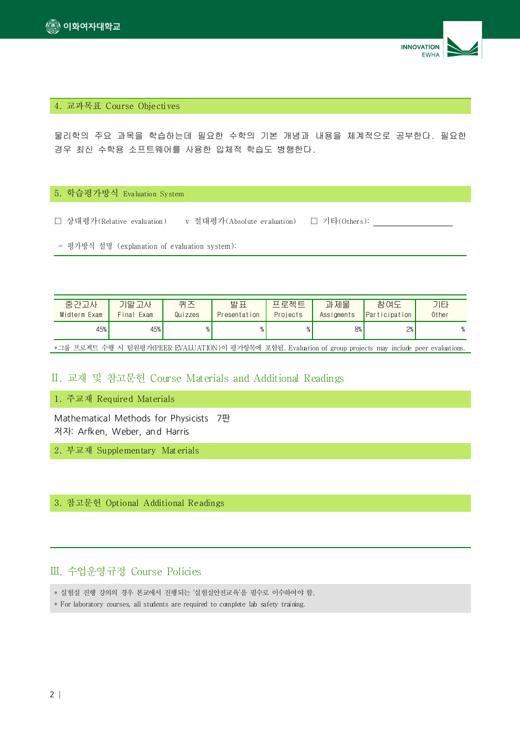



#### 4. 교과목표 Course Objectives

물리학의 주요 과목을 학습하는데 필요한 수학의 기본 개념과 내용을 체계적으로 공부한다. 필요한 경우 최신 수학용 소프트웨어를 사용한 입체적 학습도 병행한다.

#### 5. 학습평가방식 Evaluation System

☐ 상대평가(Relative evaluation) v 절대평가(Absolute evaluation) ☐ 기타(Others):

- 평가방식 설명 (explanation of evaluation system):

| 중간고사                                                                                                       | 기말고사       | 퀴즈      | 발표           | 프 루젠 트   | 과제물        | 참여도                                | 기타    |
|------------------------------------------------------------------------------------------------------------|------------|---------|--------------|----------|------------|------------------------------------|-------|
| Midterm Exam                                                                                               | Final Exam | Quizzes | Presentation | Projects | Assigments | <i><u><b>Participation</b></u></i> | 0ther |
| 45%                                                                                                        | 45%        |         |              |          | 8%         | 2%                                 |       |
| *그룹 프로젝트 수행 시 팀원평가(PEER EVALUATION)이 평가항목에 포함됨. Evaluation of group projects may include peer evaluations. |            |         |              |          |            |                                    |       |

#### Ⅱ. Course Materials and Additional Readings 교재 및 참고문헌

1. 주교재 Required Materials

Mathematical Methods for Physicists 7판 저자: Arfken, Weber, and Harris

2. 부교재 Supplementary Materials

3. 참고문헌 Optional Additional Readings

## Ⅲ. 수업운영규정 Course Policies

- \* 실험실 진행 강의의 경우 본교에서 진행되는 '실험실안전교육'을 필수로 이수하여야 함.
- \* For laboratory courses, all students are required to complete lab safety training.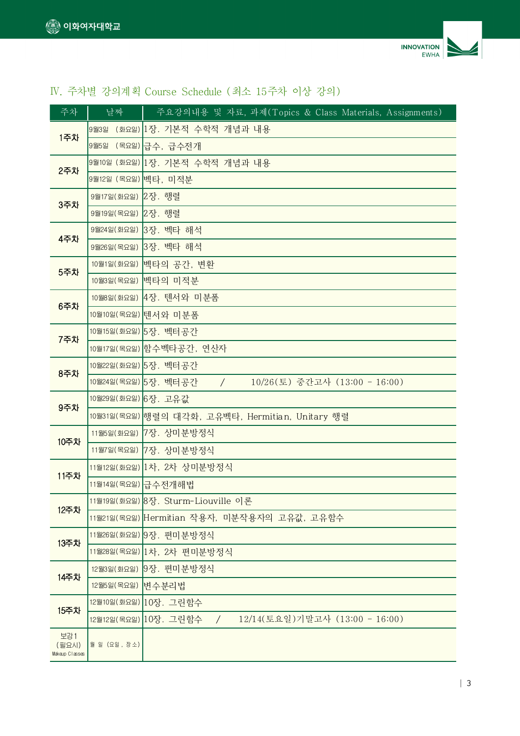

# IV. 주차별 강의계획 Course Schedule (최소 15주차 이상 강의)

| 주차                             | 날짜                                               | 주요강의내용 및 자료, 과제(Topics & Class Materials, Assignments)                |  |  |  |
|--------------------------------|--------------------------------------------------|-----------------------------------------------------------------------|--|--|--|
|                                |                                                  | 9월3일 (화요일) 1장. 기본적 수학적 개념과 내용                                         |  |  |  |
| 1주차                            | 9월5일 (목요일)                                       | 급수, 급수전개                                                              |  |  |  |
| 2주차                            |                                                  | 9월10일 (화요일) 1장. 기본적 수학적 개념과 내용                                        |  |  |  |
|                                | 9월12일 (목요일) 벡타, 미적분                              |                                                                       |  |  |  |
| <b>3주차</b>                     | 9월17일(화요일) 2장. 행렬                                |                                                                       |  |  |  |
|                                | 9월19일(목요일) 2장. 행렬                                |                                                                       |  |  |  |
| 4주차                            | 9월24일 (화요일)                                      | 3장. 벡타 해석                                                             |  |  |  |
|                                | 9월26일 (목요일)                                      | 3장. 벡타 해석                                                             |  |  |  |
| 5주차                            |                                                  | 10월1일(화요일) 벡타의 공간, 변환                                                 |  |  |  |
|                                | 10월3일(목요일) 벡타의 미적분                               |                                                                       |  |  |  |
| 6주차                            |                                                  | 10월8일(화요일) 4장. 텐서와 미분폼                                                |  |  |  |
|                                |                                                  | 10월10일(목요일) 텐서와 미분폼                                                   |  |  |  |
| 7주차                            | 10월15일(화요일) 5장. 벡터공간                             |                                                                       |  |  |  |
|                                |                                                  | 10월17일(목요일) 함수벡타공간, 연산자                                               |  |  |  |
| 8주차                            |                                                  | 10월22일(화요일) 5장, 벡터공간                                                  |  |  |  |
|                                |                                                  | 10월24일(목요일) 5장. 벡터공간<br>10/26(토) 중간고사 (13:00 - 16:00)<br>$\sqrt{2}$   |  |  |  |
| 9주차                            | 10월29일(화요일) 6장. 고유값                              |                                                                       |  |  |  |
|                                | 10월31일(목요일) 행렬의 대각화, 고유벡타, Hermitian, Unitary 행렬 |                                                                       |  |  |  |
| 10주차                           |                                                  | 11월5일(화요일) 7장. 상미분방정식                                                 |  |  |  |
|                                |                                                  | 11월7일(목요일) 7장. 상미분방정식                                                 |  |  |  |
| 11주차                           |                                                  | 11월12일(화요일) 1차, 2차 상미분방정식                                             |  |  |  |
|                                | 11월14일(목요일) 급수전개해법                               |                                                                       |  |  |  |
| 12주차                           |                                                  | 11월19일(화요일) 8장. Sturm-Liouville 이론                                    |  |  |  |
|                                |                                                  | 11월21일(목요일) Hermitian 작용자, 미분작용자의 고유값, 고유함수                           |  |  |  |
| 13주차                           |                                                  | 11월26일 (화요일) 9장. 편미분방정식                                               |  |  |  |
|                                | 11월28일(목요일) 1차, 2차 편미분방정식                        |                                                                       |  |  |  |
| 14주차                           | 12월3일(화요일)                                       | 9장. 편미분방정식                                                            |  |  |  |
|                                | 12월5일 (목요일)                                      | 변수분리법                                                                 |  |  |  |
| 15주차                           |                                                  | 12월10일(화요일) 10장. 그린함수                                                 |  |  |  |
|                                |                                                  | 12/14(토요일)기말고사 (13:00 - 16:00)<br>12월12일(목요일) 10장. 그린함수<br>$\sqrt{2}$ |  |  |  |
| 보강1<br>(필요시)<br>Makeup Classes | 월일 (요일, 장소)                                      |                                                                       |  |  |  |